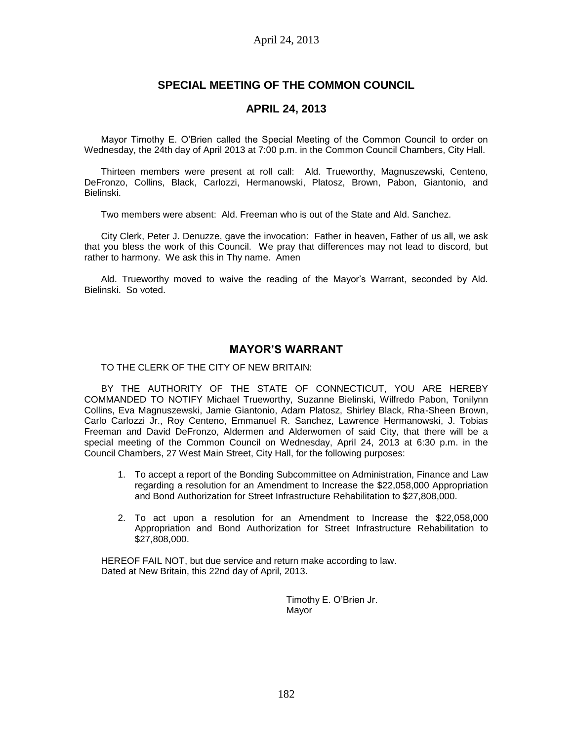# **SPECIAL MEETING OF THE COMMON COUNCIL**

## **APRIL 24, 2013**

Mayor Timothy E. O'Brien called the Special Meeting of the Common Council to order on Wednesday, the 24th day of April 2013 at 7:00 p.m. in the Common Council Chambers, City Hall.

Thirteen members were present at roll call: Ald. Trueworthy, Magnuszewski, Centeno, DeFronzo, Collins, Black, Carlozzi, Hermanowski, Platosz, Brown, Pabon, Giantonio, and Bielinski.

Two members were absent: Ald. Freeman who is out of the State and Ald. Sanchez.

City Clerk, Peter J. Denuzze, gave the invocation: Father in heaven, Father of us all, we ask that you bless the work of this Council. We pray that differences may not lead to discord, but rather to harmony. We ask this in Thy name. Amen

Ald. Trueworthy moved to waive the reading of the Mayor's Warrant, seconded by Ald. Bielinski. So voted.

# **MAYOR'S WARRANT**

TO THE CLERK OF THE CITY OF NEW BRITAIN:

BY THE AUTHORITY OF THE STATE OF CONNECTICUT, YOU ARE HEREBY COMMANDED TO NOTIFY Michael Trueworthy, Suzanne Bielinski, Wilfredo Pabon, Tonilynn Collins, Eva Magnuszewski, Jamie Giantonio, Adam Platosz, Shirley Black, Rha-Sheen Brown, Carlo Carlozzi Jr., Roy Centeno, Emmanuel R. Sanchez, Lawrence Hermanowski, J. Tobias Freeman and David DeFronzo, Aldermen and Alderwomen of said City, that there will be a special meeting of the Common Council on Wednesday, April 24, 2013 at 6:30 p.m. in the Council Chambers, 27 West Main Street, City Hall, for the following purposes:

- 1. To accept a report of the Bonding Subcommittee on Administration, Finance and Law regarding a resolution for an Amendment to Increase the \$22,058,000 Appropriation and Bond Authorization for Street Infrastructure Rehabilitation to \$27,808,000.
- 2. To act upon a resolution for an Amendment to Increase the \$22,058,000 Appropriation and Bond Authorization for Street Infrastructure Rehabilitation to \$27,808,000.

HEREOF FAIL NOT, but due service and return make according to law. Dated at New Britain, this 22nd day of April, 2013.

> Timothy E. O'Brien Jr. Mayor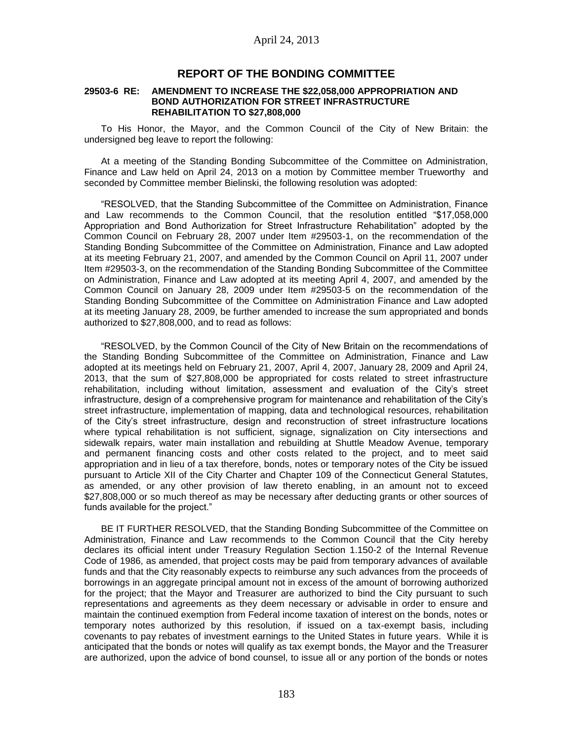### **REPORT OF THE BONDING COMMITTEE**

#### **29503-6 RE: AMENDMENT TO INCREASE THE \$22,058,000 APPROPRIATION AND BOND AUTHORIZATION FOR STREET INFRASTRUCTURE REHABILITATION TO \$27,808,000**

To His Honor, the Mayor, and the Common Council of the City of New Britain: the undersigned beg leave to report the following:

At a meeting of the Standing Bonding Subcommittee of the Committee on Administration, Finance and Law held on April 24, 2013 on a motion by Committee member Trueworthy and seconded by Committee member Bielinski, the following resolution was adopted:

"RESOLVED, that the Standing Subcommittee of the Committee on Administration, Finance and Law recommends to the Common Council, that the resolution entitled "\$17,058,000 Appropriation and Bond Authorization for Street Infrastructure Rehabilitation" adopted by the Common Council on February 28, 2007 under Item #29503-1, on the recommendation of the Standing Bonding Subcommittee of the Committee on Administration, Finance and Law adopted at its meeting February 21, 2007, and amended by the Common Council on April 11, 2007 under Item #29503-3, on the recommendation of the Standing Bonding Subcommittee of the Committee on Administration, Finance and Law adopted at its meeting April 4, 2007, and amended by the Common Council on January 28, 2009 under Item #29503-5 on the recommendation of the Standing Bonding Subcommittee of the Committee on Administration Finance and Law adopted at its meeting January 28, 2009, be further amended to increase the sum appropriated and bonds authorized to \$27,808,000, and to read as follows:

"RESOLVED, by the Common Council of the City of New Britain on the recommendations of the Standing Bonding Subcommittee of the Committee on Administration, Finance and Law adopted at its meetings held on February 21, 2007, April 4, 2007, January 28, 2009 and April 24, 2013, that the sum of \$27,808,000 be appropriated for costs related to street infrastructure rehabilitation, including without limitation, assessment and evaluation of the City's street infrastructure, design of a comprehensive program for maintenance and rehabilitation of the City's street infrastructure, implementation of mapping, data and technological resources, rehabilitation of the City's street infrastructure, design and reconstruction of street infrastructure locations where typical rehabilitation is not sufficient, signage, signalization on City intersections and sidewalk repairs, water main installation and rebuilding at Shuttle Meadow Avenue, temporary and permanent financing costs and other costs related to the project, and to meet said appropriation and in lieu of a tax therefore, bonds, notes or temporary notes of the City be issued pursuant to Article XII of the City Charter and Chapter 109 of the Connecticut General Statutes, as amended, or any other provision of law thereto enabling, in an amount not to exceed \$27,808,000 or so much thereof as may be necessary after deducting grants or other sources of funds available for the project."

BE IT FURTHER RESOLVED, that the Standing Bonding Subcommittee of the Committee on Administration, Finance and Law recommends to the Common Council that the City hereby declares its official intent under Treasury Regulation Section 1.150-2 of the Internal Revenue Code of 1986, as amended, that project costs may be paid from temporary advances of available funds and that the City reasonably expects to reimburse any such advances from the proceeds of borrowings in an aggregate principal amount not in excess of the amount of borrowing authorized for the project; that the Mayor and Treasurer are authorized to bind the City pursuant to such representations and agreements as they deem necessary or advisable in order to ensure and maintain the continued exemption from Federal income taxation of interest on the bonds, notes or temporary notes authorized by this resolution, if issued on a tax-exempt basis, including covenants to pay rebates of investment earnings to the United States in future years. While it is anticipated that the bonds or notes will qualify as tax exempt bonds, the Mayor and the Treasurer are authorized, upon the advice of bond counsel, to issue all or any portion of the bonds or notes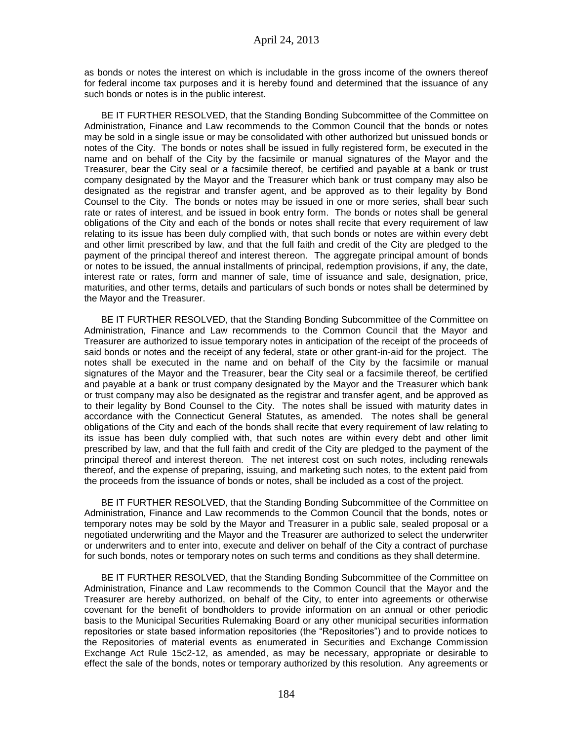as bonds or notes the interest on which is includable in the gross income of the owners thereof for federal income tax purposes and it is hereby found and determined that the issuance of any such bonds or notes is in the public interest.

BE IT FURTHER RESOLVED, that the Standing Bonding Subcommittee of the Committee on Administration, Finance and Law recommends to the Common Council that the bonds or notes may be sold in a single issue or may be consolidated with other authorized but unissued bonds or notes of the City. The bonds or notes shall be issued in fully registered form, be executed in the name and on behalf of the City by the facsimile or manual signatures of the Mayor and the Treasurer, bear the City seal or a facsimile thereof, be certified and payable at a bank or trust company designated by the Mayor and the Treasurer which bank or trust company may also be designated as the registrar and transfer agent, and be approved as to their legality by Bond Counsel to the City. The bonds or notes may be issued in one or more series, shall bear such rate or rates of interest, and be issued in book entry form. The bonds or notes shall be general obligations of the City and each of the bonds or notes shall recite that every requirement of law relating to its issue has been duly complied with, that such bonds or notes are within every debt and other limit prescribed by law, and that the full faith and credit of the City are pledged to the payment of the principal thereof and interest thereon. The aggregate principal amount of bonds or notes to be issued, the annual installments of principal, redemption provisions, if any, the date, interest rate or rates, form and manner of sale, time of issuance and sale, designation, price, maturities, and other terms, details and particulars of such bonds or notes shall be determined by the Mayor and the Treasurer.

BE IT FURTHER RESOLVED, that the Standing Bonding Subcommittee of the Committee on Administration, Finance and Law recommends to the Common Council that the Mayor and Treasurer are authorized to issue temporary notes in anticipation of the receipt of the proceeds of said bonds or notes and the receipt of any federal, state or other grant-in-aid for the project. The notes shall be executed in the name and on behalf of the City by the facsimile or manual signatures of the Mayor and the Treasurer, bear the City seal or a facsimile thereof, be certified and payable at a bank or trust company designated by the Mayor and the Treasurer which bank or trust company may also be designated as the registrar and transfer agent, and be approved as to their legality by Bond Counsel to the City. The notes shall be issued with maturity dates in accordance with the Connecticut General Statutes, as amended. The notes shall be general obligations of the City and each of the bonds shall recite that every requirement of law relating to its issue has been duly complied with, that such notes are within every debt and other limit prescribed by law, and that the full faith and credit of the City are pledged to the payment of the principal thereof and interest thereon. The net interest cost on such notes, including renewals thereof, and the expense of preparing, issuing, and marketing such notes, to the extent paid from the proceeds from the issuance of bonds or notes, shall be included as a cost of the project.

BE IT FURTHER RESOLVED, that the Standing Bonding Subcommittee of the Committee on Administration, Finance and Law recommends to the Common Council that the bonds, notes or temporary notes may be sold by the Mayor and Treasurer in a public sale, sealed proposal or a negotiated underwriting and the Mayor and the Treasurer are authorized to select the underwriter or underwriters and to enter into, execute and deliver on behalf of the City a contract of purchase for such bonds, notes or temporary notes on such terms and conditions as they shall determine.

BE IT FURTHER RESOLVED, that the Standing Bonding Subcommittee of the Committee on Administration, Finance and Law recommends to the Common Council that the Mayor and the Treasurer are hereby authorized, on behalf of the City, to enter into agreements or otherwise covenant for the benefit of bondholders to provide information on an annual or other periodic basis to the Municipal Securities Rulemaking Board or any other municipal securities information repositories or state based information repositories (the "Repositories") and to provide notices to the Repositories of material events as enumerated in Securities and Exchange Commission Exchange Act Rule 15c2-12, as amended, as may be necessary, appropriate or desirable to effect the sale of the bonds, notes or temporary authorized by this resolution. Any agreements or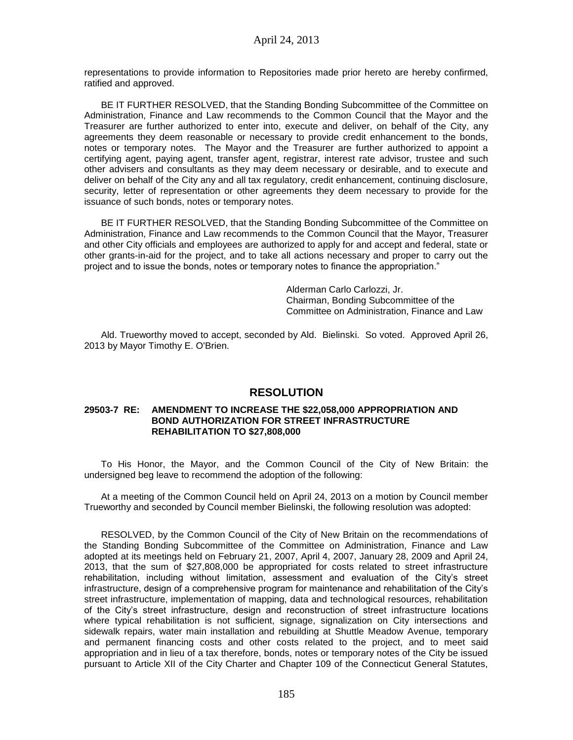representations to provide information to Repositories made prior hereto are hereby confirmed, ratified and approved.

BE IT FURTHER RESOLVED, that the Standing Bonding Subcommittee of the Committee on Administration, Finance and Law recommends to the Common Council that the Mayor and the Treasurer are further authorized to enter into, execute and deliver, on behalf of the City, any agreements they deem reasonable or necessary to provide credit enhancement to the bonds, notes or temporary notes. The Mayor and the Treasurer are further authorized to appoint a certifying agent, paying agent, transfer agent, registrar, interest rate advisor, trustee and such other advisers and consultants as they may deem necessary or desirable, and to execute and deliver on behalf of the City any and all tax regulatory, credit enhancement, continuing disclosure, security, letter of representation or other agreements they deem necessary to provide for the issuance of such bonds, notes or temporary notes.

BE IT FURTHER RESOLVED, that the Standing Bonding Subcommittee of the Committee on Administration, Finance and Law recommends to the Common Council that the Mayor, Treasurer and other City officials and employees are authorized to apply for and accept and federal, state or other grants-in-aid for the project, and to take all actions necessary and proper to carry out the project and to issue the bonds, notes or temporary notes to finance the appropriation."

> Alderman Carlo Carlozzi, Jr. Chairman, Bonding Subcommittee of the Committee on Administration, Finance and Law

Ald. Trueworthy moved to accept, seconded by Ald. Bielinski. So voted. Approved April 26, 2013 by Mayor Timothy E. O'Brien.

### **RESOLUTION**

#### **29503-7 RE: AMENDMENT TO INCREASE THE \$22,058,000 APPROPRIATION AND BOND AUTHORIZATION FOR STREET INFRASTRUCTURE REHABILITATION TO \$27,808,000**

To His Honor, the Mayor, and the Common Council of the City of New Britain: the undersigned beg leave to recommend the adoption of the following:

At a meeting of the Common Council held on April 24, 2013 on a motion by Council member Trueworthy and seconded by Council member Bielinski, the following resolution was adopted:

RESOLVED, by the Common Council of the City of New Britain on the recommendations of the Standing Bonding Subcommittee of the Committee on Administration, Finance and Law adopted at its meetings held on February 21, 2007, April 4, 2007, January 28, 2009 and April 24, 2013, that the sum of \$27,808,000 be appropriated for costs related to street infrastructure rehabilitation, including without limitation, assessment and evaluation of the City's street infrastructure, design of a comprehensive program for maintenance and rehabilitation of the City's street infrastructure, implementation of mapping, data and technological resources, rehabilitation of the City's street infrastructure, design and reconstruction of street infrastructure locations where typical rehabilitation is not sufficient, signage, signalization on City intersections and sidewalk repairs, water main installation and rebuilding at Shuttle Meadow Avenue, temporary and permanent financing costs and other costs related to the project, and to meet said appropriation and in lieu of a tax therefore, bonds, notes or temporary notes of the City be issued pursuant to Article XII of the City Charter and Chapter 109 of the Connecticut General Statutes,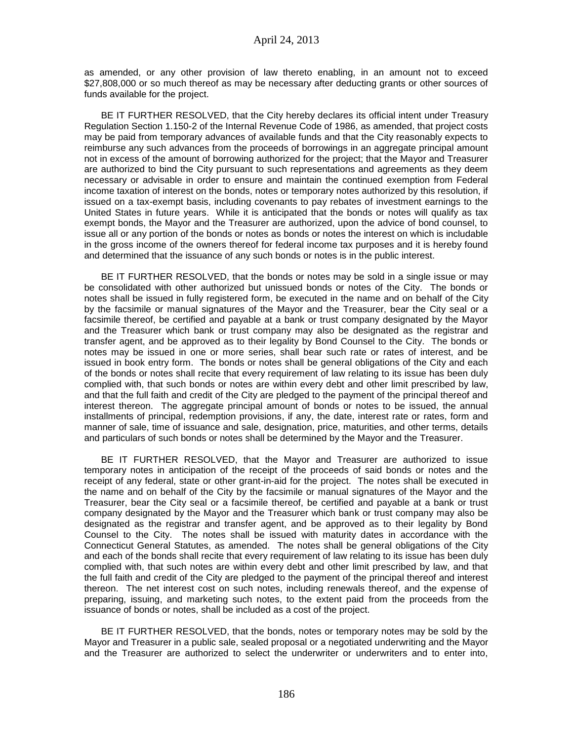as amended, or any other provision of law thereto enabling, in an amount not to exceed \$27,808,000 or so much thereof as may be necessary after deducting grants or other sources of funds available for the project.

BE IT FURTHER RESOLVED, that the City hereby declares its official intent under Treasury Regulation Section 1.150-2 of the Internal Revenue Code of 1986, as amended, that project costs may be paid from temporary advances of available funds and that the City reasonably expects to reimburse any such advances from the proceeds of borrowings in an aggregate principal amount not in excess of the amount of borrowing authorized for the project; that the Mayor and Treasurer are authorized to bind the City pursuant to such representations and agreements as they deem necessary or advisable in order to ensure and maintain the continued exemption from Federal income taxation of interest on the bonds, notes or temporary notes authorized by this resolution, if issued on a tax-exempt basis, including covenants to pay rebates of investment earnings to the United States in future years. While it is anticipated that the bonds or notes will qualify as tax exempt bonds, the Mayor and the Treasurer are authorized, upon the advice of bond counsel, to issue all or any portion of the bonds or notes as bonds or notes the interest on which is includable in the gross income of the owners thereof for federal income tax purposes and it is hereby found and determined that the issuance of any such bonds or notes is in the public interest.

BE IT FURTHER RESOLVED, that the bonds or notes may be sold in a single issue or may be consolidated with other authorized but unissued bonds or notes of the City. The bonds or notes shall be issued in fully registered form, be executed in the name and on behalf of the City by the facsimile or manual signatures of the Mayor and the Treasurer, bear the City seal or a facsimile thereof, be certified and payable at a bank or trust company designated by the Mayor and the Treasurer which bank or trust company may also be designated as the registrar and transfer agent, and be approved as to their legality by Bond Counsel to the City. The bonds or notes may be issued in one or more series, shall bear such rate or rates of interest, and be issued in book entry form. The bonds or notes shall be general obligations of the City and each of the bonds or notes shall recite that every requirement of law relating to its issue has been duly complied with, that such bonds or notes are within every debt and other limit prescribed by law, and that the full faith and credit of the City are pledged to the payment of the principal thereof and interest thereon. The aggregate principal amount of bonds or notes to be issued, the annual installments of principal, redemption provisions, if any, the date, interest rate or rates, form and manner of sale, time of issuance and sale, designation, price, maturities, and other terms, details and particulars of such bonds or notes shall be determined by the Mayor and the Treasurer.

BE IT FURTHER RESOLVED, that the Mayor and Treasurer are authorized to issue temporary notes in anticipation of the receipt of the proceeds of said bonds or notes and the receipt of any federal, state or other grant-in-aid for the project. The notes shall be executed in the name and on behalf of the City by the facsimile or manual signatures of the Mayor and the Treasurer, bear the City seal or a facsimile thereof, be certified and payable at a bank or trust company designated by the Mayor and the Treasurer which bank or trust company may also be designated as the registrar and transfer agent, and be approved as to their legality by Bond Counsel to the City. The notes shall be issued with maturity dates in accordance with the Connecticut General Statutes, as amended. The notes shall be general obligations of the City and each of the bonds shall recite that every requirement of law relating to its issue has been duly complied with, that such notes are within every debt and other limit prescribed by law, and that the full faith and credit of the City are pledged to the payment of the principal thereof and interest thereon. The net interest cost on such notes, including renewals thereof, and the expense of preparing, issuing, and marketing such notes, to the extent paid from the proceeds from the issuance of bonds or notes, shall be included as a cost of the project.

BE IT FURTHER RESOLVED, that the bonds, notes or temporary notes may be sold by the Mayor and Treasurer in a public sale, sealed proposal or a negotiated underwriting and the Mayor and the Treasurer are authorized to select the underwriter or underwriters and to enter into,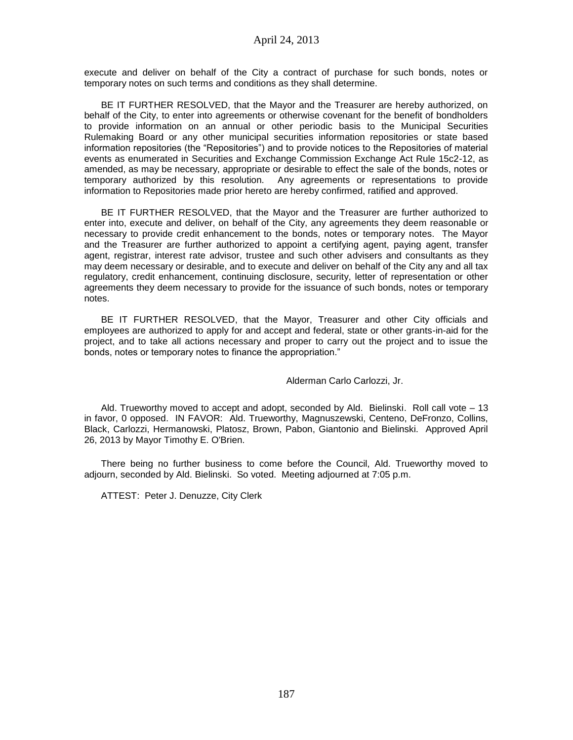execute and deliver on behalf of the City a contract of purchase for such bonds, notes or temporary notes on such terms and conditions as they shall determine.

BE IT FURTHER RESOLVED, that the Mayor and the Treasurer are hereby authorized, on behalf of the City, to enter into agreements or otherwise covenant for the benefit of bondholders to provide information on an annual or other periodic basis to the Municipal Securities Rulemaking Board or any other municipal securities information repositories or state based information repositories (the "Repositories") and to provide notices to the Repositories of material events as enumerated in Securities and Exchange Commission Exchange Act Rule 15c2-12, as amended, as may be necessary, appropriate or desirable to effect the sale of the bonds, notes or temporary authorized by this resolution. Any agreements or representations to provide information to Repositories made prior hereto are hereby confirmed, ratified and approved.

BE IT FURTHER RESOLVED, that the Mayor and the Treasurer are further authorized to enter into, execute and deliver, on behalf of the City, any agreements they deem reasonable or necessary to provide credit enhancement to the bonds, notes or temporary notes. The Mayor and the Treasurer are further authorized to appoint a certifying agent, paying agent, transfer agent, registrar, interest rate advisor, trustee and such other advisers and consultants as they may deem necessary or desirable, and to execute and deliver on behalf of the City any and all tax regulatory, credit enhancement, continuing disclosure, security, letter of representation or other agreements they deem necessary to provide for the issuance of such bonds, notes or temporary notes.

BE IT FURTHER RESOLVED, that the Mayor, Treasurer and other City officials and employees are authorized to apply for and accept and federal, state or other grants-in-aid for the project, and to take all actions necessary and proper to carry out the project and to issue the bonds, notes or temporary notes to finance the appropriation."

Alderman Carlo Carlozzi, Jr.

Ald. Trueworthy moved to accept and adopt, seconded by Ald. Bielinski. Roll call vote – 13 in favor, 0 opposed. IN FAVOR: Ald. Trueworthy, Magnuszewski, Centeno, DeFronzo, Collins, Black, Carlozzi, Hermanowski, Platosz, Brown, Pabon, Giantonio and Bielinski. Approved April 26, 2013 by Mayor Timothy E. O'Brien.

There being no further business to come before the Council, Ald. Trueworthy moved to adjourn, seconded by Ald. Bielinski. So voted. Meeting adjourned at 7:05 p.m.

ATTEST: Peter J. Denuzze, City Clerk